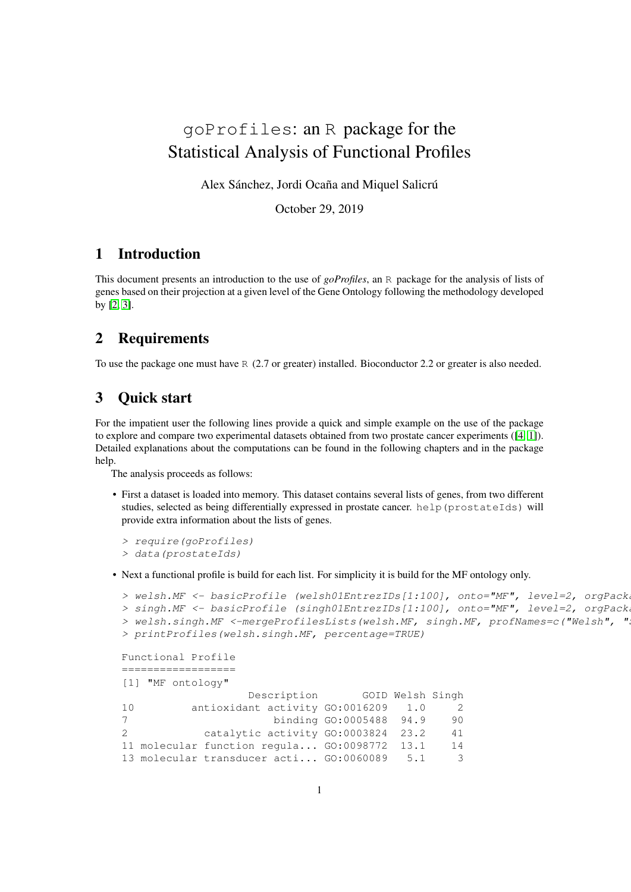# goProfiles: an R package for the Statistical Analysis of Functional Profiles

Alex Sánchez, Jordi Ocaña and Miquel Salicrú

October 29, 2019

# 1 Introduction

This document presents an introduction to the use of *goProfiles*, an R package for the analysis of lists of genes based on their projection at a given level of the Gene Ontology following the methodology developed by [\[2,](#page-4-0) [3\]](#page-4-1).

### 2 Requirements

To use the package one must have R (2.7 or greater) installed. Bioconductor 2.2 or greater is also needed.

# 3 Quick start

For the impatient user the following lines provide a quick and simple example on the use of the package to explore and compare two experimental datasets obtained from two prostate cancer experiments ([\[4,](#page-4-2) [1\]](#page-3-0)). Detailed explanations about the computations can be found in the following chapters and in the package help.

The analysis proceeds as follows:

• First a dataset is loaded into memory. This dataset contains several lists of genes, from two different studies, selected as being differentially expressed in prostate cancer. help(prostateIds) will provide extra information about the lists of genes.

```
> require(goProfiles)
> data(prostateIds)
```
• Next a functional profile is build for each list. For simplicity it is build for the MF ontology only.

```
> welsh.MF <- basicProfile (welsh01EntrezIDs[1:100], onto="MF", level=2, orgPack
> singh.MF <- basicProfile (singh01EntrezIDs[1:100], onto="MF", level=2, orgPack
> welsh.singh.MF <-mergeProfilesLists(welsh.MF, singh.MF, profNames=c("Welsh", "
> printProfiles(welsh.singh.MF, percentage=TRUE)
```

```
Functional Profile
 ==================
```
[1] "MF ontology"

|    | Description |  |                                              | GOID Welsh Singh |     |
|----|-------------|--|----------------------------------------------|------------------|-----|
| 10 |             |  | antioxidant activity GO:0016209              | 1.0              | -2. |
| 7  |             |  | binding GO:0005488 94.9                      |                  | 90  |
| 2  |             |  | catalytic activity GO:0003824 23.2           |                  | 41  |
|    |             |  | 11 molecular function regula GO:0098772 13.1 |                  | 14  |
|    |             |  | 13 molecular transducer acti GO:0060089      | 5.1              | 3   |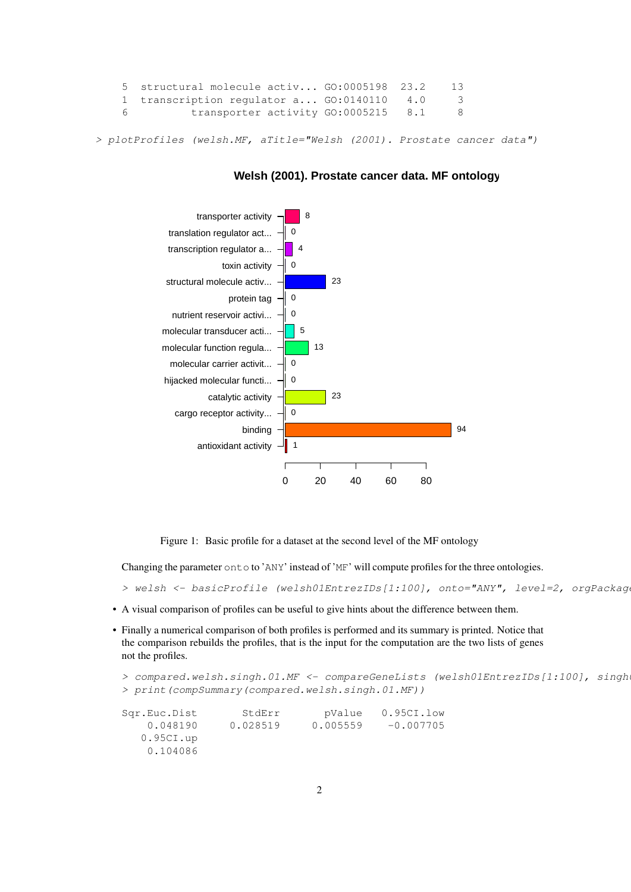```
5 structural molecule activ... GO:0005198 23.2 13
1 transcription regulator a... GO:0140110 4.0 3
6 transporter activity GO:0005215 8.1 8
```
> plotProfiles (welsh.MF, aTitle="Welsh (2001). Prostate cancer data")



#### **Welsh (2001). Prostate cancer data. MF ontology**

Figure 1: Basic profile for a dataset at the second level of the MF ontology

Changing the parameter onto to 'ANY' instead of 'MF' will compute profiles for the three ontologies.

> welsh <- basicProfile (welsh01EntrezIDs[1:100], onto="ANY", level=2, orgPackag

- A visual comparison of profiles can be useful to give hints about the difference between them.
- Finally a numerical comparison of both profiles is performed and its summary is printed. Notice that the comparison rebuilds the profiles, that is the input for the computation are the two lists of genes not the profiles.

```
> compared.welsh.singh.01.MF <- compareGeneLists (welsh01EntrezIDs[1:100], singh
> print(compSummary(compared.welsh.singh.01.MF))
Sqr.Euc.Dist StdErr pValue 0.95CI.low
   0.048190 0.028519 0.005559 -0.007705
  0.95CI.up
   0.104086
```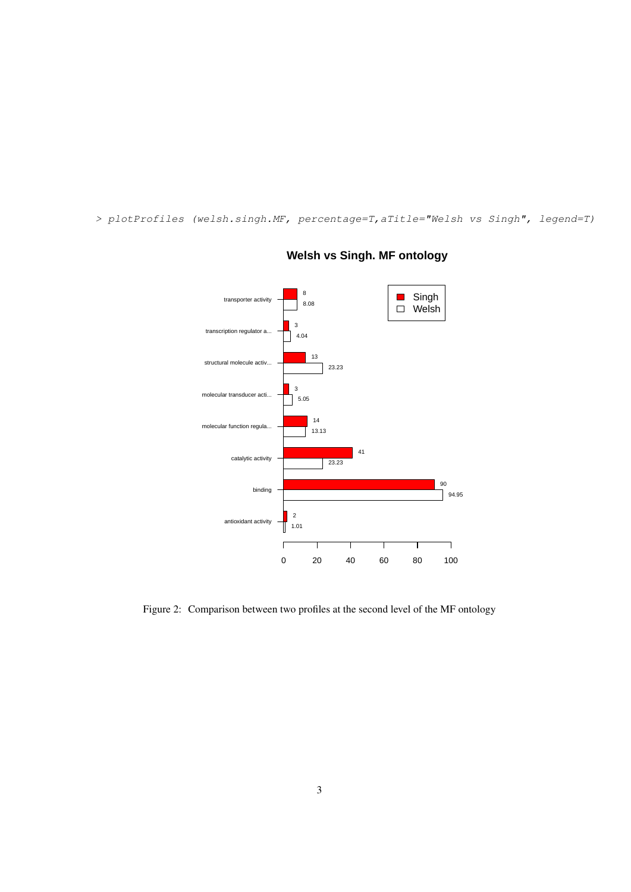> plotProfiles (welsh.singh.MF, percentage=T,aTitle="Welsh vs Singh", legend=T)



# **Welsh vs Singh. MF ontology**

Figure 2: Comparison between two profiles at the second level of the MF ontology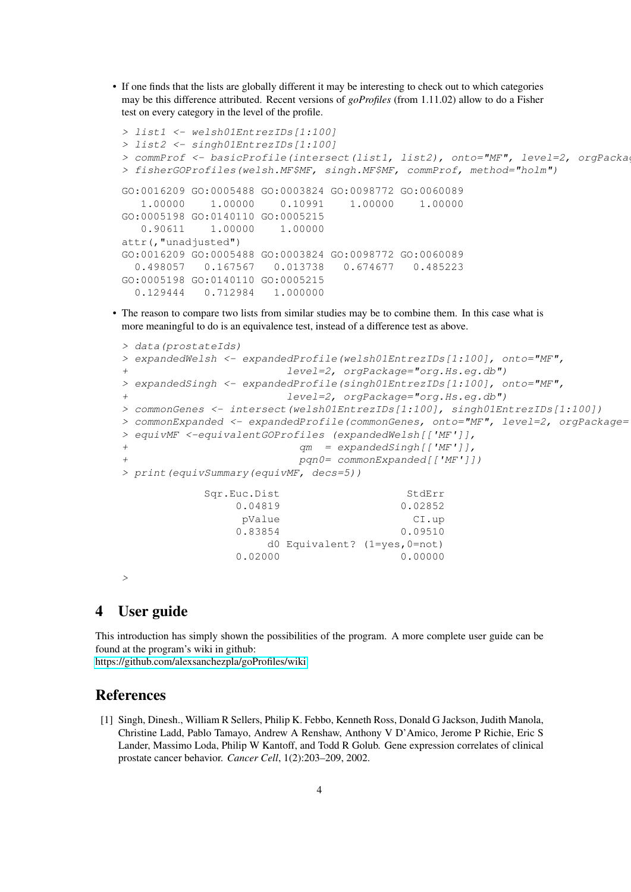• If one finds that the lists are globally different it may be interesting to check out to which categories may be this difference attributed. Recent versions of *goProfiles* (from 1.11.02) allow to do a Fisher test on every category in the level of the profile.

```
> list1 <- welsh01EntrezIDs[1:100]
> list2 <- singh01EntrezIDs[1:100]
> commProf <- basicProfile(intersect(list1, list2), onto="MF", level=2, orgPacka
> fisherGOProfiles(welsh.MF$MF, singh.MF$MF, commProf, method="holm")
GO:0016209 GO:0005488 GO:0003824 GO:0098772 GO:0060089
   1.00000 1.00000 0.10991 1.00000 1.00000
GO:0005198 GO:0140110 GO:0005215
   0.90611 1.00000 1.00000
attr(,"unadjusted")
GO:0016209 GO:0005488 GO:0003824 GO:0098772 GO:0060089
  0.498057 0.167567 0.013738 0.674677 0.485223
GO:0005198 GO:0140110 GO:0005215
  0.129444 0.712984 1.000000
```
• The reason to compare two lists from similar studies may be to combine them. In this case what is more meaningful to do is an equivalence test, instead of a difference test as above.

```
> data(prostateIds)
> expandedWelsh <- expandedProfile(welsh01EntrezIDs[1:100], onto="MF",
+ level=2, orgPackage="org.Hs.eg.db")
> expandedSingh <- expandedProfile(singh01EntrezIDs[1:100], onto="MF",
+ level=2, orgPackage="org.Hs.eg.db")
> commonGenes <- intersect(welsh01EntrezIDs[1:100], singh01EntrezIDs[1:100])
> commonExpanded <- expandedProfile(commonGenes, onto="MF", level=2, orgPackage=
> equivMF <-equivalentGOProfiles (expandedWelsh[['MF']],
+ qm = expandedSingh[['MF']],
+ pqn0= commonExpanded[['MF']])
> print(equivSummary(equivMF, decs=5))
          Sqr.Euc.Dist StdErr
              0.04819 0.02852
              pValue CI.up
              0.83854 0.09510
                  d0 Equivalent? (1=yes,0=not)
              0.02000 0.00000
>
```
## 4 User guide

This introduction has simply shown the possibilities of the program. A more complete user guide can be found at the program's wiki in github:

<https://github.com/alexsanchezpla/goProfiles/wiki>

# References

<span id="page-3-0"></span>[1] Singh, Dinesh., William R Sellers, Philip K. Febbo, Kenneth Ross, Donald G Jackson, Judith Manola, Christine Ladd, Pablo Tamayo, Andrew A Renshaw, Anthony V D'Amico, Jerome P Richie, Eric S Lander, Massimo Loda, Philip W Kantoff, and Todd R Golub. Gene expression correlates of clinical prostate cancer behavior. *Cancer Cell*, 1(2):203–209, 2002.